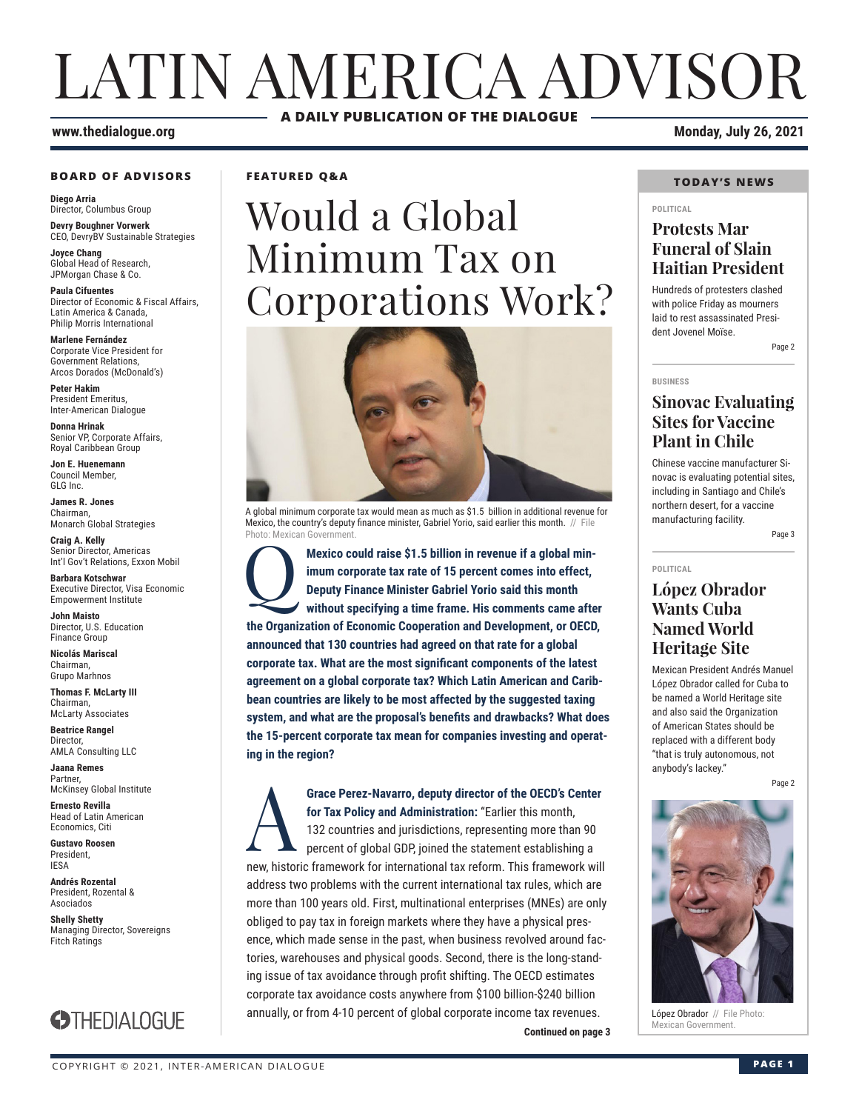# LATIN AMERICA ADVISOR **A DAILY PUBLICATION OF THE DIALOGUE**

#### **www.thedialogue.org Monday, July 26, 2021**

#### **BOARD OF ADVISORS**

**Diego Arria** Director, Columbus Group **Devry Boughner Vorwerk**

CEO, DevryBV Sustainable Strategies

**Joyce Chang** Global Head of Research, JPMorgan Chase & Co.

**Paula Cifuentes** Director of Economic & Fiscal Affairs, Latin America & Canada, Philip Morris International

**Marlene Fernández** Corporate Vice President for Government Relations, Arcos Dorados (McDonald's)

**Peter Hakim** President Emeritus, Inter-American Dialogue

**Donna Hrinak** Senior VP, Corporate Affairs, Royal Caribbean Group

**Jon E. Huenemann** Council Member, GLG Inc.

**James R. Jones** Chairman, Monarch Global Strategies

**Craig A. Kelly** Senior Director, Americas Int'l Gov't Relations, Exxon Mobil

**Barbara Kotschwar** Executive Director, Visa Economic Empowerment Institute

**John Maisto** Director, U.S. Education Finance Group

**Nicolás Mariscal** Chairman, Grupo Marhnos

**Thomas F. McLarty III** Chairman, McLarty Associates

**Beatrice Rangel**  Director, AMLA Consulting LLC

**Jaana Remes** Partner, McKinsey Global Institute

**Ernesto Revilla**  Head of Latin American Economics, Citi

**Gustavo Roosen** President, IESA

**Andrés Rozental**  President, Rozental & Asociados

**Shelly Shetty** Managing Director, Sovereigns Fitch Ratings



**FEATURED Q&A**

# Would a Global Minimum Tax on Corporations Work?



A global minimum corporate tax would mean as much as \$1.5 billion in additional revenue for Mexico, the country's deputy finance minister, Gabriel Yorio, said earlier this month. // File Photo: Mexican Governr

Mexico could raise \$1.5 billion in revenue if a global minimum corporate tax rate of 15 percent comes into effect, Deputy Finance Minister Gabriel Yorio said this month without specifying a time frame. His comments came af **imum corporate tax rate of 15 percent comes into effect, Deputy Finance Minister Gabriel Yorio said this month without specifying a time frame. His comments came after the Organization of Economic Cooperation and Development, or OECD, announced that 130 countries had agreed on that rate for a global corporate tax. What are the most significant components of the latest agreement on a global corporate tax? Which Latin American and Caribbean countries are likely to be most affected by the suggested taxing system, and what are the proposal's benefits and drawbacks? What does the 15-percent corporate tax mean for companies investing and operating in the region?**

**Continued on page 3** Grace Perez-Navarro, deputy director of the OECD's Center<br>for Tax Policy and Administration: "Earlier this month,<br>132 countries and jurisdictions, representing more than 90<br>percent of global GDP, joined the statement estab **for Tax Policy and Administration:** "Earlier this month, 132 countries and jurisdictions, representing more than 90 percent of global GDP, joined the statement establishing a new, historic framework for international tax reform. This framework will address two problems with the current international tax rules, which are more than 100 years old. First, multinational enterprises (MNEs) are only obliged to pay tax in foreign markets where they have a physical presence, which made sense in the past, when business revolved around factories, warehouses and physical goods. Second, there is the long-standing issue of tax avoidance through profit shifting. The OECD estimates corporate tax avoidance costs anywhere from \$100 billion-\$240 billion annually, or from 4-10 percent of global corporate income tax revenues.

#### **TODAY'S NEWS**

#### **POLITICAL**

## **Protests Mar Funeral of Slain Haitian President**

Hundreds of protesters clashed with police Friday as mourners laid to rest assassinated President Jovenel Moïse.

Page 2

#### **BUSINESS**

## **Sinovac Evaluating Sites for Vaccine Plant in Chile**

Chinese vaccine manufacturer Sinovac is evaluating potential sites, including in Santiago and Chile's northern desert, for a vaccine manufacturing facility.

Page 3

#### **POLITICAL**

## **López Obrador Wants Cuba Named World Heritage Site**

Mexican President Andrés Manuel López Obrador called for Cuba to be named a World Heritage site and also said the Organization of American States should be replaced with a different body "that is truly autonomous, not anybody's lackey."

Page 2



López Obrador // File Photo:<br>Mexican Government.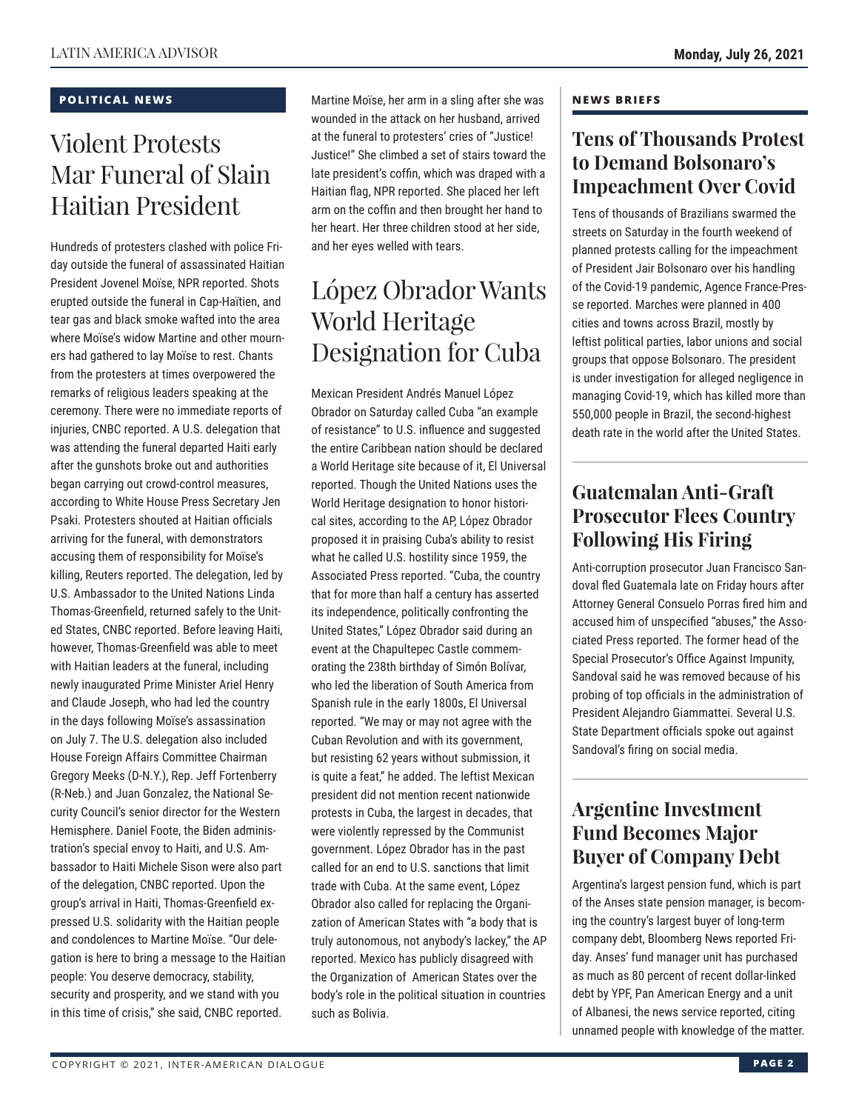### **POLITICAL NEWS**

# Violent Protests Mar Funeral of Slain Haitian President

Hundreds of protesters clashed with police Friday outside the funeral of assassinated Haitian President Jovenel Moïse, NPR reported. Shots erupted outside the funeral in Cap-Haïtien, and tear gas and black smoke wafted into the area where Moïse's widow Martine and other mourners had gathered to lay Moïse to rest. Chants from the protesters at times overpowered the remarks of religious leaders speaking at the ceremony. There were no immediate reports of injuries, CNBC reported. A U.S. delegation that was attending the funeral departed Haiti early after the gunshots broke out and authorities began carrying out crowd-control measures, according to White House Press Secretary Jen Psaki. Protesters shouted at Haitian officials arriving for the funeral, with demonstrators accusing them of responsibility for Moïse's killing, Reuters reported. The delegation, led by U.S. Ambassador to the United Nations Linda Thomas-Greenfield, returned safely to the United States, CNBC reported. Before leaving Haiti, however, Thomas-Greenfield was able to meet with Haitian leaders at the funeral, including newly inaugurated Prime Minister Ariel Henry and Claude Joseph, who had led the country in the days following Moïse's assassination on July 7. The U.S. delegation also included House Foreign Affairs Committee Chairman Gregory Meeks (D-N.Y.), Rep. Jeff Fortenberry (R-Neb.) and Juan Gonzalez, the National Security Council's senior director for the Western Hemisphere. Daniel Foote, the Biden administration's special envoy to Haiti, and U.S. Ambassador to Haiti Michele Sison were also part of the delegation, CNBC reported. Upon the group's arrival in Haiti, Thomas-Greenfield expressed U.S. solidarity with the Haitian people and condolences to Martine Moïse. "Our delegation is here to bring a message to the Haitian people: You deserve democracy, stability, security and prosperity, and we stand with you in this time of crisis," she said, CNBC reported.

Martine Moïse, her arm in a sling after she was wounded in the attack on her husband, arrived at the funeral to protesters' cries of "Justice! Justice!" She climbed a set of stairs toward the late president's coffin, which was draped with a Haitian flag, NPR reported. She placed her left arm on the coffin and then brought her hand to her heart. Her three children stood at her side, and her eyes welled with tears.

# López Obrador Wants World Heritage Designation for Cuba

Mexican President Andrés Manuel López Obrador on Saturday called Cuba "an example of resistance" to U.S. influence and suggested the entire Caribbean nation should be declared a World Heritage site because of it, El Universal reported. Though the United Nations uses the World Heritage designation to honor historical sites, according to the AP, López Obrador proposed it in praising Cuba's ability to resist what he called U.S. hostility since 1959, the Associated Press reported. "Cuba, the country that for more than half a century has asserted its independence, politically confronting the United States," López Obrador said during an event at the Chapultepec Castle commemorating the 238th birthday of Simón Bolívar, who led the liberation of South America from Spanish rule in the early 1800s, El Universal reported. "We may or may not agree with the Cuban Revolution and with its government, but resisting 62 years without submission, it is quite a feat," he added. The leftist Mexican president did not mention recent nationwide protests in Cuba, the largest in decades, that were violently repressed by the Communist government. López Obrador has in the past called for an end to U.S. sanctions that limit trade with Cuba. At the same event, López Obrador also called for replacing the Organization of American States with "a body that is truly autonomous, not anybody's lackey," the AP reported. Mexico has publicly disagreed with the Organization of American States over the body's role in the political situation in countries such as Bolivia.

#### **NEWS BRIEFS**

## **Tens of Thousands Protest to Demand Bolsonaro's Impeachment Over Covid**

Tens of thousands of Brazilians swarmed the streets on Saturday in the fourth weekend of planned protests calling for the impeachment of President Jair Bolsonaro over his handling of the Covid-19 pandemic, Agence France-Presse reported. Marches were planned in 400 cities and towns across Brazil, mostly by leftist political parties, labor unions and social groups that oppose Bolsonaro. The president is under investigation for alleged negligence in managing Covid-19, which has killed more than 550,000 people in Brazil, the second-highest death rate in the world after the United States.

## **Guatemalan Anti-Graft Prosecutor Flees Country Following His Firing**

Anti-corruption prosecutor Juan Francisco Sandoval fled Guatemala late on Friday hours after Attorney General Consuelo Porras fired him and accused him of unspecified "abuses," the Associated Press reported. The former head of the Special Prosecutor's Office Against Impunity, Sandoval said he was removed because of his probing of top officials in the administration of President Alejandro Giammattei. Several U.S. State Department officials spoke out against Sandoval's firing on social media.

## **Argentine Investment Fund Becomes Major Buyer of Company Debt**

Argentina's largest pension fund, which is part of the Anses state pension manager, is becoming the country's largest buyer of long-term company debt, Bloomberg News reported Friday. Anses' fund manager unit has purchased as much as 80 percent of recent dollar-linked debt by YPF, Pan American Energy and a unit of Albanesi, the news service reported, citing unnamed people with knowledge of the matter.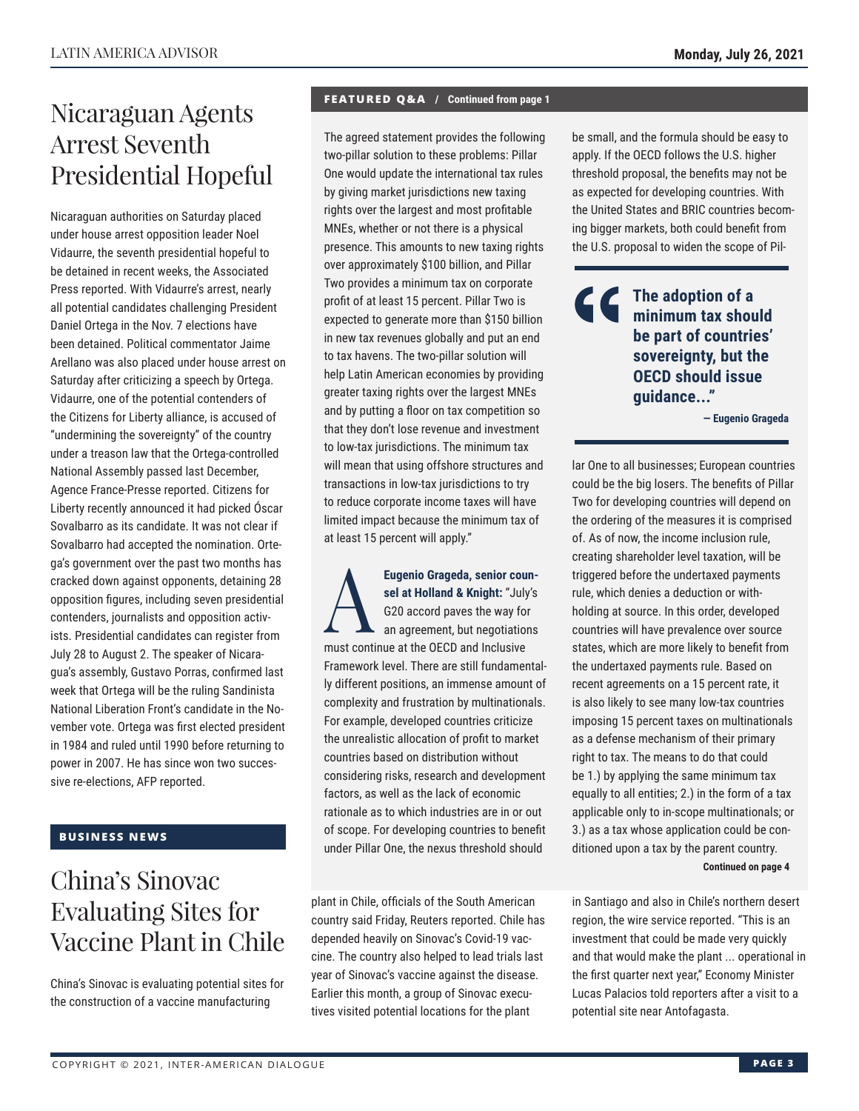## Nicaraguan Agents Arrest Seventh Presidential Hopeful

Nicaraguan authorities on Saturday placed under house arrest opposition leader Noel Vidaurre, the seventh presidential hopeful to be detained in recent weeks, the Associated Press reported. With Vidaurre's arrest, nearly all potential candidates challenging President Daniel Ortega in the Nov. 7 elections have been detained. Political commentator Jaime Arellano was also placed under house arrest on Saturday after criticizing a speech by Ortega. Vidaurre, one of the potential contenders of the Citizens for Liberty alliance, is accused of "undermining the sovereignty" of the country under a treason law that the Ortega-controlled National Assembly passed last December, Agence France-Presse reported. Citizens for Liberty recently announced it had picked Óscar Sovalbarro as its candidate. It was not clear if Sovalbarro had accepted the nomination. Ortega's government over the past two months has cracked down against opponents, detaining 28 opposition figures, including seven presidential contenders, journalists and opposition activists. Presidential candidates can register from July 28 to August 2. The speaker of Nicaragua's assembly, Gustavo Porras, confirmed last week that Ortega will be the ruling Sandinista National Liberation Front's candidate in the November vote. Ortega was first elected president in 1984 and ruled until 1990 before returning to power in 2007. He has since won two successive re-elections, AFP reported.

## **BUSINESS NEWS**

# China's Sinovac Evaluating Sites for Vaccine Plant in Chile

China's Sinovac is evaluating potential sites for the construction of a vaccine manufacturing

## **FEATURED Q&A / Continued from page 1**

The agreed statement provides the following two-pillar solution to these problems: Pillar One would update the international tax rules by giving market jurisdictions new taxing rights over the largest and most profitable MNEs, whether or not there is a physical presence. This amounts to new taxing rights over approximately \$100 billion, and Pillar Two provides a minimum tax on corporate profit of at least 15 percent. Pillar Two is expected to generate more than \$150 billion in new tax revenues globally and put an end to tax havens. The two-pillar solution will help Latin American economies by providing greater taxing rights over the largest MNEs and by putting a floor on tax competition so that they don't lose revenue and investment to low-tax jurisdictions. The minimum tax will mean that using offshore structures and transactions in low-tax jurisdictions to try to reduce corporate income taxes will have limited impact because the minimum tax of at least 15 percent will apply."

Eugenio Grageda, senior counsel at Holland & Knight: "July's<br>
G20 accord paves the way for<br>
an agreement, but negotiations<br>
must continue at the OECD and Inclusive **sel at Holland & Knight:** "July's G20 accord paves the way for an agreement, but negotiations must continue at the OECD and Inclusive Framework level. There are still fundamentally different positions, an immense amount of complexity and frustration by multinationals. For example, developed countries criticize the unrealistic allocation of profit to market countries based on distribution without considering risks, research and development factors, as well as the lack of economic rationale as to which industries are in or out of scope. For developing countries to benefit under Pillar One, the nexus threshold should

plant in Chile, officials of the South American country said Friday, Reuters reported. Chile has depended heavily on Sinovac's Covid-19 vaccine. The country also helped to lead trials last year of Sinovac's vaccine against the disease. Earlier this month, a group of Sinovac executives visited potential locations for the plant

be small, and the formula should be easy to apply. If the OECD follows the U.S. higher threshold proposal, the benefits may not be as expected for developing countries. With the United States and BRIC countries becoming bigger markets, both could benefit from the U.S. proposal to widen the scope of Pil-

## **The adoption of a minimum tax should be part of countries' sovereignty, but the OECD should issue guidance..."**

**— Eugenio Grageda**

lar One to all businesses; European countries could be the big losers. The benefits of Pillar Two for developing countries will depend on the ordering of the measures it is comprised of. As of now, the income inclusion rule, creating shareholder level taxation, will be triggered before the undertaxed payments rule, which denies a deduction or withholding at source. In this order, developed countries will have prevalence over source states, which are more likely to benefit from the undertaxed payments rule. Based on recent agreements on a 15 percent rate, it is also likely to see many low-tax countries imposing 15 percent taxes on multinationals as a defense mechanism of their primary right to tax. The means to do that could be 1.) by applying the same minimum tax equally to all entities; 2.) in the form of a tax applicable only to in-scope multinationals; or 3.) as a tax whose application could be conditioned upon a tax by the parent country. **Continued on page 4** 

in Santiago and also in Chile's northern desert region, the wire service reported. "This is an investment that could be made very quickly and that would make the plant ... operational in the first quarter next year," Economy Minister Lucas Palacios told reporters after a visit to a potential site near Antofagasta.